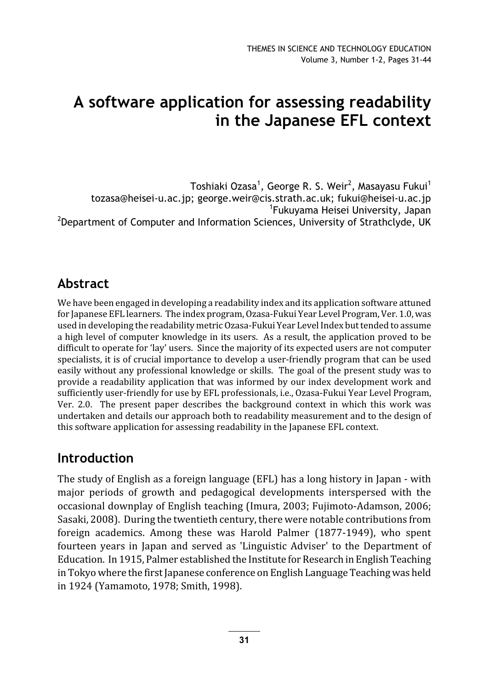# A software application for assessing readability in the Japanese EFL context

Toshiaki Ozasa $^1$ , George R. S. Weir $^2$ , Masayasu Fukui $^1$ tozasa@heisei-u.ac.jp; george.weir@cis.strath.ac.uk; fukui@heisei-u.ac.jp 1 Fukuyama Heisei University, Japan <sup>2</sup>Department of Computer and Information Sciences, University of Strathclyde, UK

# Abstract

We have been engaged in developing a readability index and its application software attuned for Japanese EFL learners. The index program, Ozasa-Fukui Year Level Program, Ver. 1.0, was used in developing the readability metric Ozasa-Fukui Year Level Index but tended to assume a high level of computer knowledge in its users. As a result, the application proved to be difficult to operate for 'lay' users. Since the majority of its expected users are not computer specialists, it is of crucial importance to develop a user-friendly program that can be used easily without any professional knowledge or skills. The goal of the present study was to provide a readability application that was informed by our index development work and sufficiently user-friendly for use by EFL professionals, i.e., Ozasa-Fukui Year Level Program, Ver. 2.0. The present paper describes the background context in which this work was undertaken and details our approach both to readability measurement and to the design of this software application for assessing readability in the Japanese EFL context.

### Introduction

The study of English as a foreign language (EFL) has a long history in Japan - with major periods of growth and pedagogical developments interspersed with the occasional downplay of English teaching (Imura, 2003; Fujimoto-Adamson, 2006; Sasaki, 2008). During the twentieth century, there were notable contributions from foreign academics. Among these was Harold Palmer (1877-1949), who spent fourteen years in Japan and served as 'Linguistic Adviser' to the Department of Education. In 1915, Palmer established the Institute for Research in English Teaching in Tokyo where the first Japanese conference on English Language Teaching was held in 1924 (Yamamoto, 1978; Smith, 1998).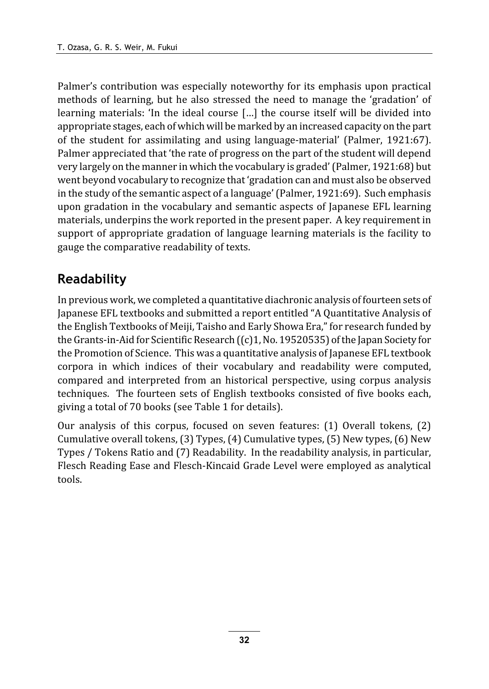Palmer's contribution was especially noteworthy for its emphasis upon practical methods of learning, but he also stressed the need to manage the 'gradation' of learning materials: 'In the ideal course […] the course itself will be divided into appropriate stages, each of which will be marked by an increased capacity on the part of the student for assimilating and using language-material' (Palmer, 1921:67). Palmer appreciated that 'the rate of progress on the part of the student will depend very largely on the manner in which the vocabulary is graded' (Palmer, 1921:68) but went beyond vocabulary to recognize that 'gradation can and must also be observed in the study of the semantic aspect of a language' (Palmer, 1921:69). Such emphasis upon gradation in the vocabulary and semantic aspects of Japanese EFL learning materials, underpins the work reported in the present paper. A key requirement in support of appropriate gradation of language learning materials is the facility to gauge the comparative readability of texts.

## Readability

In previous work, we completed a quantitative diachronic analysis of fourteen sets of Japanese EFL textbooks and submitted a report entitled "A Quantitative Analysis of the English Textbooks of Meiji, Taisho and Early Showa Era," for research funded by the Grants-in-Aid for Scientific Research ((c)1, No. 19520535) of the Japan Society for the Promotion of Science. This was a quantitative analysis of Japanese EFL textbook corpora in which indices of their vocabulary and readability were computed, compared and interpreted from an historical perspective, using corpus analysis techniques. The fourteen sets of English textbooks consisted of five books each, giving a total of 70 books (see Table 1 for details).

Our analysis of this corpus, focused on seven features: (1) Overall tokens, (2) Cumulative overall tokens, (3) Types, (4) Cumulative types, (5) New types, (6) New Types / Tokens Ratio and (7) Readability. In the readability analysis, in particular, Flesch Reading Ease and Flesch-Kincaid Grade Level were employed as analytical tools.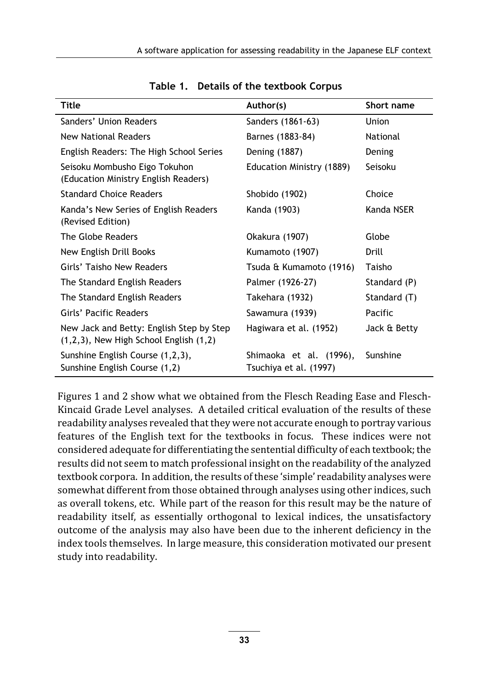| Title                                                                                   | Author(s)                                         | Short name   |
|-----------------------------------------------------------------------------------------|---------------------------------------------------|--------------|
| Sanders' Union Readers                                                                  | Sanders (1861-63)                                 | Union        |
| <b>New National Readers</b>                                                             | Barnes (1883-84)                                  | National     |
| English Readers: The High School Series                                                 | Dening (1887)                                     | Dening       |
| Seisoku Mombusho Eigo Tokuhon<br>(Education Ministry English Readers)                   | Education Ministry (1889)                         | Seisoku      |
| <b>Standard Choice Readers</b>                                                          | Shobido (1902)                                    | Choice       |
| Kanda's New Series of English Readers<br>(Revised Edition)                              | Kanda (1903)                                      | Kanda NSER   |
| The Globe Readers                                                                       | Okakura (1907)                                    | Globe        |
| New English Drill Books                                                                 | Kumamoto (1907)                                   | Drill        |
| Girls' Taisho New Readers                                                               | Tsuda & Kumamoto (1916)                           | Taisho       |
| The Standard English Readers                                                            | Palmer (1926-27)                                  | Standard (P) |
| The Standard English Readers                                                            | Takehara (1932)                                   | Standard (T) |
| Girls' Pacific Readers                                                                  | Sawamura (1939)                                   | Pacific      |
| New Jack and Betty: English Step by Step<br>$(1,2,3)$ , New High School English $(1,2)$ | Hagiwara et al. (1952)                            | Jack & Betty |
| Sunshine English Course (1,2,3),<br>Sunshine English Course (1,2)                       | Shimaoka et al. (1996),<br>Tsuchiya et al. (1997) | Sunshine     |

Table 1. Details of the textbook Corpus

Figures 1 and 2 show what we obtained from the Flesch Reading Ease and Flesch-Kincaid Grade Level analyses. A detailed critical evaluation of the results of these readability analyses revealed that they were not accurate enough to portray various features of the English text for the textbooks in focus. These indices were not considered adequate for differentiating the sentential difficulty of each textbook; the results did not seem to match professional insight on the readability of the analyzed textbook corpora. In addition, the results of these 'simple' readability analyses were somewhat different from those obtained through analyses using other indices, such as overall tokens, etc. While part of the reason for this result may be the nature of readability itself, as essentially orthogonal to lexical indices, the unsatisfactory outcome of the analysis may also have been due to the inherent deficiency in the index tools themselves. In large measure, this consideration motivated our present study into readability.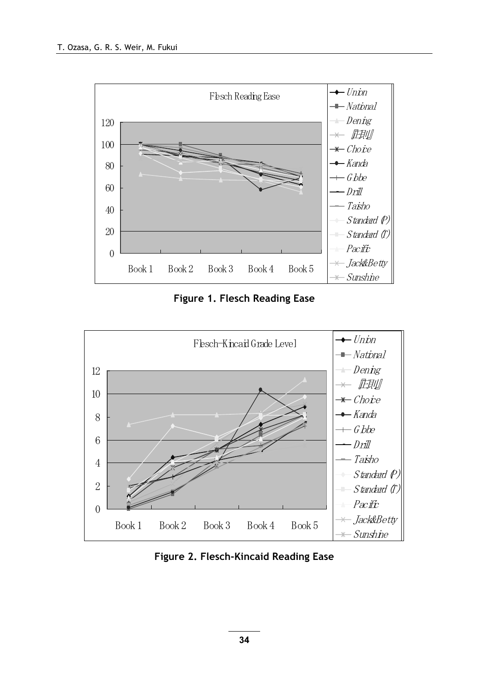

Figure 1. Flesch Reading Ease



Figure 2. Flesch-Kincaid Reading Ease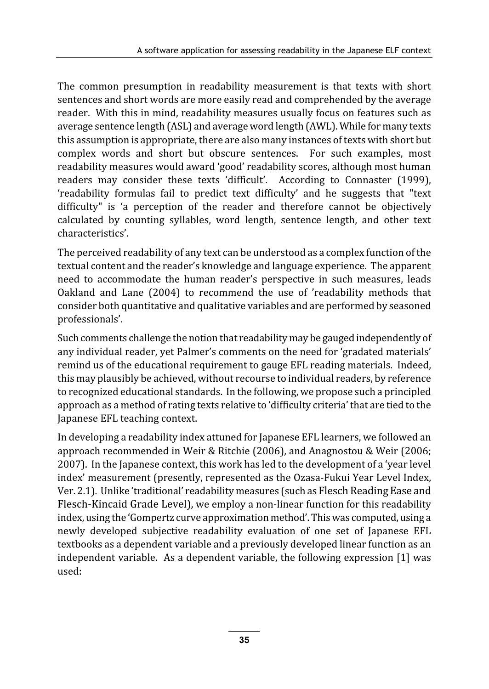The common presumption in readability measurement is that texts with short sentences and short words are more easily read and comprehended by the average reader. With this in mind, readability measures usually focus on features such as average sentence length (ASL) and average word length (AWL). While for many texts this assumption is appropriate, there are also many instances of texts with short but complex words and short but obscure sentences. For such examples, most readability measures would award 'good' readability scores, although most human readers may consider these texts 'difficult'. According to Connaster (1999), 'readability formulas fail to predict text difficulty' and he suggests that "text difficulty" is 'a perception of the reader and therefore cannot be objectively calculated by counting syllables, word length, sentence length, and other text characteristics'.

The perceived readability of any text can be understood as a complex function of the textual content and the reader's knowledge and language experience. The apparent need to accommodate the human reader's perspective in such measures, leads Oakland and Lane (2004) to recommend the use of 'readability methods that consider both quantitative and qualitative variables and are performed by seasoned professionals'.

Such comments challenge the notion that readability may be gauged independently of any individual reader, yet Palmer's comments on the need for 'gradated materials' remind us of the educational requirement to gauge EFL reading materials. Indeed, this may plausibly be achieved, without recourse to individual readers, by reference to recognized educational standards. In the following, we propose such a principled approach as a method of rating texts relative to 'difficulty criteria' that are tied to the Japanese EFL teaching context.

In developing a readability index attuned for Japanese EFL learners, we followed an approach recommended in Weir & Ritchie (2006), and Anagnostou & Weir (2006; 2007). In the Japanese context, this work has led to the development of a 'year level index' measurement (presently, represented as the Ozasa-Fukui Year Level Index, Ver. 2.1). Unlike 'traditional' readability measures (such as Flesch Reading Ease and Flesch-Kincaid Grade Level), we employ a non-linear function for this readability index, using the 'Gompertz curve approximation method'. This was computed, using a newly developed subjective readability evaluation of one set of Japanese EFL textbooks as a dependent variable and a previously developed linear function as an independent variable. As a dependent variable, the following expression [1] was used: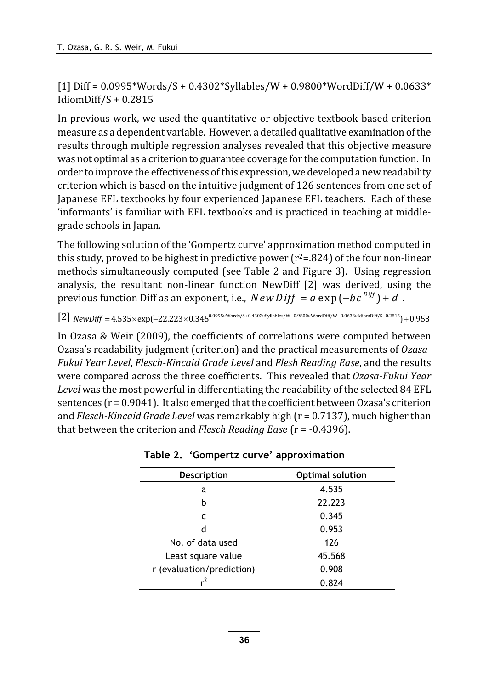$[1]$  Diff = 0.0995\*Words/S + 0.4302\*Syllables/W + 0.9800\*WordDiff/W + 0.0633\* IdiomDiff/S + 0.2815

In previous work, we used the quantitative or objective textbook-based criterion measure as a dependent variable. However, a detailed qualitative examination of the results through multiple regression analyses revealed that this objective measure was not optimal as a criterion to guarantee coverage for the computation function. In order to improve the effectiveness of this expression, we developed a new readability criterion which is based on the intuitive judgment of 126 sentences from one set of Japanese EFL textbooks by four experienced Japanese EFL teachers. Each of these 'informants' is familiar with EFL textbooks and is practiced in teaching at middlegrade schools in Japan.

The following solution of the 'Gompertz curve' approximation method computed in this study, proved to be highest in predictive power  $(r^2=824)$  of the four non-linear methods simultaneously computed (see Table 2 and Figure 3). Using regression analysis, the resultant non-linear function NewDiff [2] was derived, using the previous function Diff as an exponent, i.e.,  $NewDiff = a \exp(-bc^{Diff}) + d$ .

 $[2]$   $NewDiff = 4.535 \times exp(-22.223 \times 0.345^{0.0995 \times Words/S + 0.4302 \times Syllables/W + 0.9800 \times WordDiff/W + 0.0633 \times 1diomDiff/S + 0.2815 } + 0.953$ 

In Ozasa & Weir (2009), the coefficients of correlations were computed between Ozasa's readability judgment (criterion) and the practical measurements of Ozasa-Fukui Year Level, Flesch-Kincaid Grade Level and Flesh Reading Ease, and the results were compared across the three coefficients. This revealed that Ozasa-Fukui Year Level was the most powerful in differentiating the readability of the selected 84 EFL sentences  $(r = 0.9041)$ . It also emerged that the coefficient between Ozasa's criterion and Flesch-Kincaid Grade Level was remarkably high (r = 0.7137), much higher than that between the criterion and Flesch Reading Ease ( $r = -0.4396$ ).

| <b>Description</b>        | <b>Optimal solution</b> |
|---------------------------|-------------------------|
| a                         | 4.535                   |
| b                         | 22.223                  |
| C                         | 0.345                   |
| d                         | 0.953                   |
| No. of data used          | 126                     |
| Least square value        | 45.568                  |
| r (evaluation/prediction) | 0.908                   |
| -2                        | 0.824                   |

Table 2. 'Gompertz curve' approximation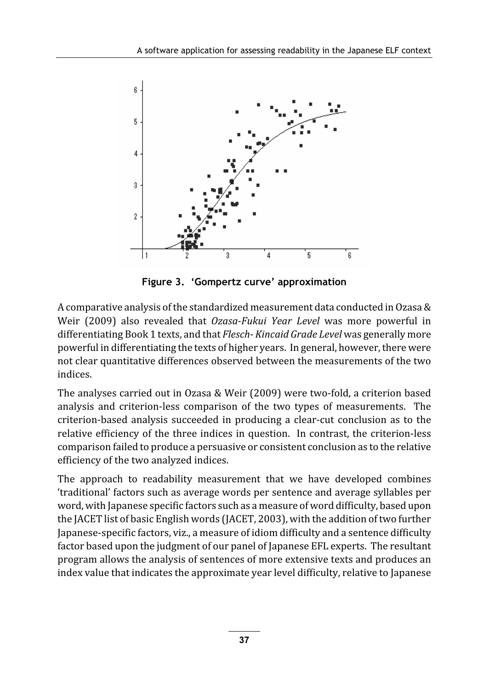

Figure 3. 'Gompertz curve' approximation

A comparative analysis of the standardized measurement data conducted in Ozasa & Weir (2009) also revealed that Ozasa-Fukui Year Level was more powerful in differentiating Book 1 texts, and that Flesch- Kincaid Grade Level was generally more powerful in differentiating the texts of higher years. In general, however, there were not clear quantitative differences observed between the measurements of the two indices.

The analyses carried out in Ozasa & Weir (2009) were two-fold, a criterion based analysis and criterion-less comparison of the two types of measurements. The criterion-based analysis succeeded in producing a clear-cut conclusion as to the relative efficiency of the three indices in question. In contrast, the criterion-less comparison failed to produce a persuasive or consistent conclusion as to the relative efficiency of the two analyzed indices.

The approach to readability measurement that we have developed combines 'traditional' factors such as average words per sentence and average syllables per word, with Japanese specific factors such as a measure of word difficulty, based upon the JACET list of basic English words (JACET, 2003), with the addition of two further Japanese-specific factors, viz., a measure of idiom difficulty and a sentence difficulty factor based upon the judgment of our panel of Japanese EFL experts. The resultant program allows the analysis of sentences of more extensive texts and produces an index value that indicates the approximate year level difficulty, relative to Japanese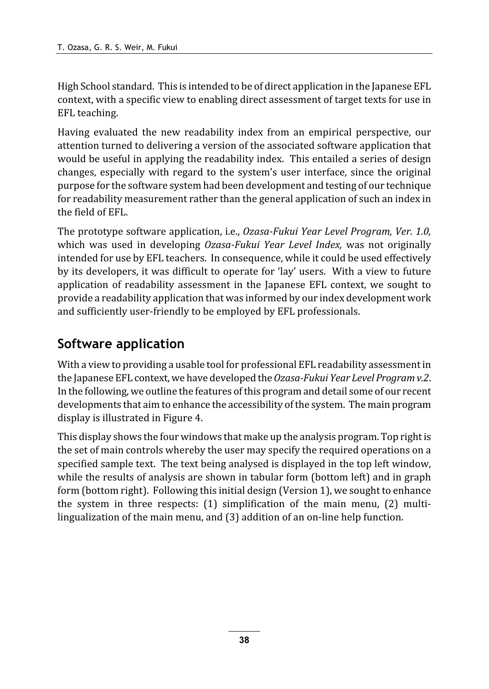High School standard. This is intended to be of direct application in the Japanese EFL context, with a specific view to enabling direct assessment of target texts for use in EFL teaching.

Having evaluated the new readability index from an empirical perspective, our attention turned to delivering a version of the associated software application that would be useful in applying the readability index. This entailed a series of design changes, especially with regard to the system's user interface, since the original purpose for the software system had been development and testing of our technique for readability measurement rather than the general application of such an index in the field of EFL.

The prototype software application, i.e., Ozasa-Fukui Year Level Program, Ver. 1.0, which was used in developing Ozasa-Fukui Year Level Index, was not originally intended for use by EFL teachers. In consequence, while it could be used effectively by its developers, it was difficult to operate for 'lay' users. With a view to future application of readability assessment in the Japanese EFL context, we sought to provide a readability application that was informed by our index development work and sufficiently user-friendly to be employed by EFL professionals.

# Software application

With a view to providing a usable tool for professional EFL readability assessment in the Japanese EFL context, we have developed the Ozasa-Fukui Year Level Program v.2. In the following, we outline the features of this program and detail some of our recent developments that aim to enhance the accessibility of the system. The main program display is illustrated in Figure 4.

This display shows the four windows that make up the analysis program. Top right is the set of main controls whereby the user may specify the required operations on a specified sample text. The text being analysed is displayed in the top left window, while the results of analysis are shown in tabular form (bottom left) and in graph form (bottom right). Following this initial design (Version 1), we sought to enhance the system in three respects: (1) simplification of the main menu, (2) multilingualization of the main menu, and (3) addition of an on-line help function.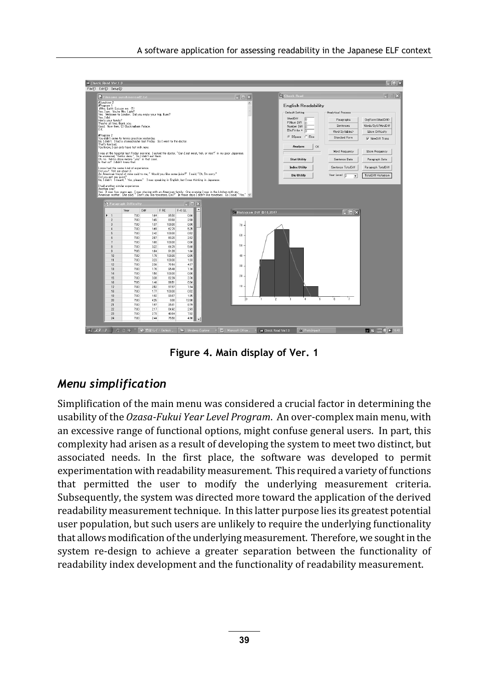

Figure 4. Main display of Ver. 1

### Menu simplification

Simplification of the main menu was considered a crucial factor in determining the usability of the Ozasa-Fukui Year Level Program. An over-complex main menu, with an excessive range of functional options, might confuse general users. In part, this complexity had arisen as a result of developing the system to meet two distinct, but associated needs. In the first place, the software was developed to permit experimentation with readability measurement. This required a variety of functions that permitted the user to modify the underlying measurement criteria. Subsequently, the system was directed more toward the application of the derived readability measurement technique. In this latter purpose lies its greatest potential user population, but such users are unlikely to require the underlying functionality that allows modification of the underlying measurement. Therefore, we sought in the system re-design to achieve a greater separation between the functionality of readability index development and the functionality of readability measurement.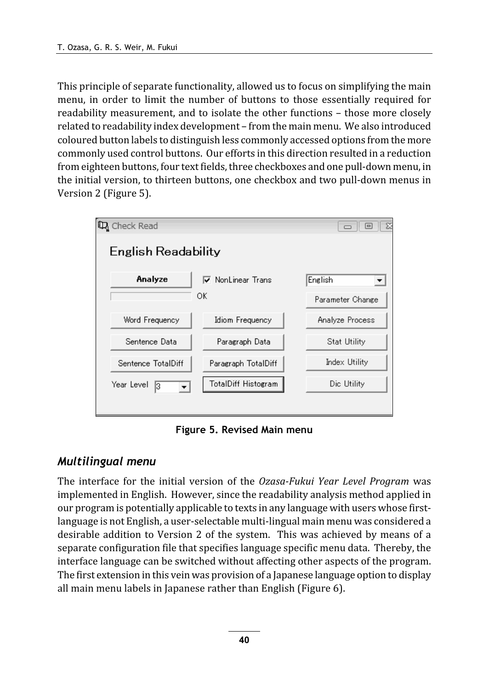This principle of separate functionality, allowed us to focus on simplifying the main menu, in order to limit the number of buttons to those essentially required for readability measurement, and to isolate the other functions – those more closely related to readability index development – from the main menu. We also introduced coloured button labels to distinguish less commonly accessed options from the more commonly used control buttons. Our efforts in this direction resulted in a reduction from eighteen buttons, four text fields, three checkboxes and one pull-down menu, in the initial version, to thirteen buttons, one checkbox and two pull-down menus in Version 2 (Figure 5).



Figure 5. Revised Main menu

Multilingual menu The interface for the initial version of the Ozasa-Fukui Year Level Program was implemented in English. However, since the readability analysis method applied in our program is potentially applicable to texts in any language with users whose firstlanguage is not English, a user-selectable multi-lingual main menu was considered a desirable addition to Version 2 of the system. This was achieved by means of a separate configuration file that specifies language specific menu data. Thereby, the interface language can be switched without affecting other aspects of the program. The first extension in this vein was provision of a Japanese language option to display all main menu labels in Japanese rather than English (Figure 6).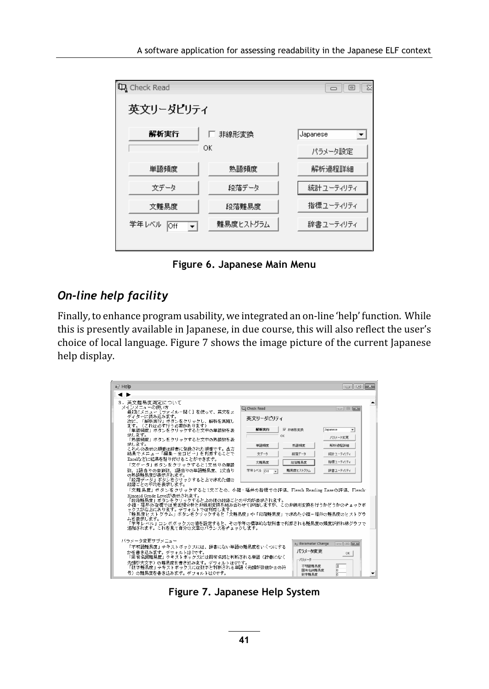| Q Check Read                                    |           | X<br>$=$  |
|-------------------------------------------------|-----------|-----------|
| 英文リーダビリティ                                       |           |           |
| 解析実行                                            | 非線形変換     | Japanese  |
|                                                 | ОК        | パラメータ設定   |
| 単語頻度                                            | 熱語頻度      | 解析過程詳細    |
| 文データ                                            | 段落データ     | 統計ユーティリティ |
| 文難易度                                            | 段落難易度     | 指標ユーティリティ |
| 学年レベル<br><b>Off</b><br>$\overline{\phantom{a}}$ | 難易度ヒストグラム | 辞書ユーティリティ |
|                                                 |           |           |

Figure 6. Japanese Main Menu

### On-line help facility

Finally, to enhance program usability, we integrated an on-line 'help' function. While this is presently available in Japanese, in due course, this will also reflect the user's choice of local language. Figure 7 shows the image picture of the current Japanese help display.

| a. Help                                                                                                                                                                                                                                                                                                                                                                                                                                                                                                                                                                                                                                                                                                                                                                                                                                                                                                                                                              | $\blacksquare$                                                                                                                                                                                                                                                                                                                                                                                                                                                    |
|----------------------------------------------------------------------------------------------------------------------------------------------------------------------------------------------------------------------------------------------------------------------------------------------------------------------------------------------------------------------------------------------------------------------------------------------------------------------------------------------------------------------------------------------------------------------------------------------------------------------------------------------------------------------------------------------------------------------------------------------------------------------------------------------------------------------------------------------------------------------------------------------------------------------------------------------------------------------|-------------------------------------------------------------------------------------------------------------------------------------------------------------------------------------------------------------------------------------------------------------------------------------------------------------------------------------------------------------------------------------------------------------------------------------------------------------------|
| . .                                                                                                                                                                                                                                                                                                                                                                                                                                                                                                                                                                                                                                                                                                                                                                                                                                                                                                                                                                  |                                                                                                                                                                                                                                                                                                                                                                                                                                                                   |
| 3.英文難易度測定について<br>メインメニューの使い方<br><b>D</b> <sub>3</sub> Check Read<br>最初にメニュー「ファイル-聞く】を使って、英文をエ<br>ディターに読み込みます。<br>英文リーダビリティ<br>次に、「解析実行」ボタンをクリックし、解析を実施し<br>ます。(これは必ず行う必要があります)<br>解析実行<br>「単語頻度」ボタンをクリックすると文中の単語数を表<br>示します。<br>OK<br>「热語頻度」ボタンをクリックすると文中の熟語数を表<br>示します。<br>単語相度<br>これらの表示の順番は辞書に登録された順番です。出力<br>結果でメニュー「編集-全コピー」を利用することで<br>女データ<br>Excelなどに結果を貼り付けることができます。<br>文雅易度<br>「文データ」ボタンをクリックすると1文当りの単語<br>数、1語当りの音節数、1語当りの単語難易度、1文当り<br>学年レベル Off<br>$\overline{\phantom{a}}$<br>の執語難易度が表示されます。<br>「段落データ」ボタンをクリックすると上で求めた値の<br>段落ごとの平均を表示します。<br>「文難易度」ボタンをクリックすると1文ごとの、小篠・福井の指標での評価、Flesch Reading Easeの評価、Flesch-<br>Kincaid Grade Levelが表示されます。<br>「段落難易度」ボタンをクリックすると上の値の段落ごとの平均が表示されます。<br>小篠・福井の指標では重回帰分析と非線形変換を組み合わせて評価しますが、この非線形変換を行うかどうかのチェックボ<br>ックスが右上にあります。デフォルトでは利用します。<br>「難易度ヒストグラム」ボタンをクリックすると「文難易度」や「段落難易度」で求めた小篠-福井の難易度のヒストグラ<br>ムを表示します。<br>「学年レベル」コンボボックスの値を設定すると、その学年の標準的な教科書で利用される難易度の頻度が折れ線グラフで<br>追加されます。これを見て自分の文章のパランスをチェックします。 | ▽ 非線形変換<br>Japanese<br>٠<br>パラメータ変更<br>AC4F3MRIESR<br>熱語頻度<br>段落データ<br>統計ユーティリティ<br>指標ユーティリティ<br>段落難易度<br>難易度とストグラム<br>辞書ユーティリティ                                                                                                                                                                                                                                                                                                                                  |
| バラメータ変更サブメニュー<br>「不明語難易度」テキストボックスには、辞書にない単語の難易度をいくつにする<br>かを書き込みます。デフォルトは0です。<br>「固有名詞難易度」テキストボックスには固有名詞と判断される単語(辞書になく<br>先頭が大文字)の難易度を書き込みます。デフォルトは0です。<br>「数字難易度」テキストボックスには数字と判断される単語(先頭が数値か±の符<br>号)の難易度を書き込みます。デフォルトは0です。                                                                                                                                                                                                                                                                                                                                                                                                                                                                                                                                                                                                                                                                                                                                         | a.) Parameter Change<br>$\begin{array}{c} \hline \begin{array}{c} \hline \end{array} & \hline \begin{array}{c} \hline \end{array} & \hline \begin{array}{c} \hline \end{array} & \hline \begin{array}{c} \hline \end{array} & \hline \begin{array}{c} \hline \end{array} & \hline \begin{array}{c} \hline \end{array} & \hline \begin{array}{c} \hline \end{array} & \hline \end{array}$<br>パラメータ変更<br>OK<br>パラメータ<br>不明語難易度<br>m<br>jо<br>固有名詞難易度<br>lõ<br>动字群易度 |

Figure 7. Japanese Help System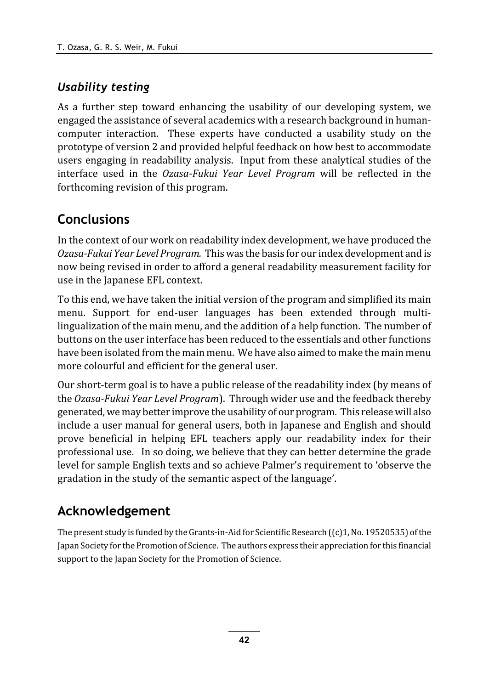# Usability testing

As a further step toward enhancing the usability of our developing system, we engaged the assistance of several academics with a research background in humancomputer interaction. These experts have conducted a usability study on the prototype of version 2 and provided helpful feedback on how best to accommodate users engaging in readability analysis. Input from these analytical studies of the interface used in the Ozasa-Fukui Year Level Program will be reflected in the forthcoming revision of this program.

# **Conclusions**

In the context of our work on readability index development, we have produced the Ozasa-Fukui Year Level Program. This was the basis for our index development and is now being revised in order to afford a general readability measurement facility for use in the Japanese EFL context.

To this end, we have taken the initial version of the program and simplified its main menu. Support for end-user languages has been extended through multilingualization of the main menu, and the addition of a help function. The number of buttons on the user interface has been reduced to the essentials and other functions have been isolated from the main menu. We have also aimed to make the main menu more colourful and efficient for the general user.

Our short-term goal is to have a public release of the readability index (by means of the Ozasa-Fukui Year Level Program). Through wider use and the feedback thereby generated, we may better improve the usability of our program. This release will also include a user manual for general users, both in Japanese and English and should prove beneficial in helping EFL teachers apply our readability index for their professional use. In so doing, we believe that they can better determine the grade level for sample English texts and so achieve Palmer's requirement to 'observe the gradation in the study of the semantic aspect of the language'.

# Acknowledgement

The present study is funded by the Grants-in-Aid for Scientific Research ((c)1, No. 19520535) of the Japan Society for the Promotion of Science. The authors express their appreciation for this financial support to the Japan Society for the Promotion of Science.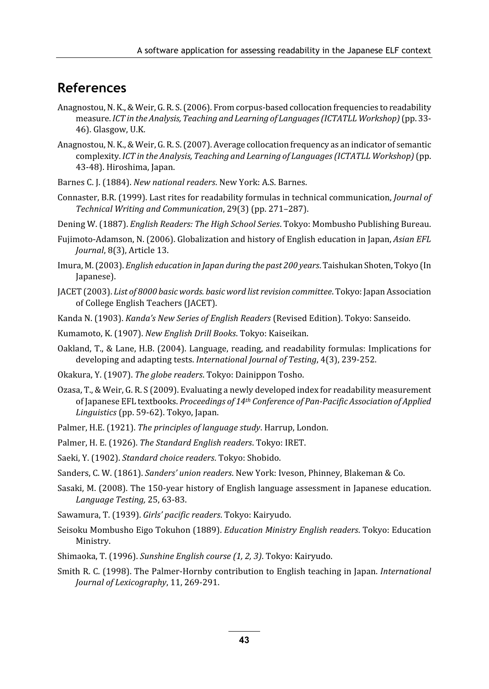### References

- Anagnostou, N. K., & Weir, G. R. S. (2006). From corpus-based collocation frequencies to readability measure. ICT in the Analysis, Teaching and Learning of Languages (ICTATLL Workshop) (pp. 33- 46). Glasgow, U.K.
- Anagnostou, N. K., & Weir, G. R. S. (2007). Average collocation frequency as an indicator of semantic complexity. ICT in the Analysis, Teaching and Learning of Languages(ICTATLL Workshop) (pp. 43-48). Hiroshima, Japan.
- Barnes C. J. (1884). New national readers. New York: A.S. Barnes.
- Connaster, B.R. (1999). Last rites for readability formulas in technical communication, Journal of Technical Writing and Communication, 29(3) (pp. 271–287).
- Dening W. (1887). English Readers: The High School Series. Tokyo: Mombusho Publishing Bureau.
- Fujimoto-Adamson, N. (2006). Globalization and history of English education in Japan, Asian EFL Journal, 8(3), Article 13.
- Imura, M. (2003). English education in Japan during the past 200 years. Taishukan Shoten, Tokyo (In Japanese).
- JACET (2003). List of 8000 basic words. basic word list revision committee. Tokyo: Japan Association of College English Teachers (JACET).
- Kanda N. (1903). Kanda's New Series of English Readers (Revised Edition). Tokyo: Sanseido.
- Kumamoto, K. (1907). New English Drill Books. Tokyo: Kaiseikan.
- Oakland, T., & Lane, H.B. (2004). Language, reading, and readability formulas: Implications for developing and adapting tests. International Journal of Testing, 4(3), 239-252.
- Okakura, Y. (1907). The globe readers. Tokyo: Dainippon Tosho.
- Ozasa, T., & Weir, G. R. S (2009). Evaluating a newly developed index for readability measurement of Japanese EFL textbooks. Proceedings of 14th Conference of Pan-Pacific Association of Applied Linguistics (pp. 59-62). Tokyo, Japan.
- Palmer, H.E. (1921). The principles of language study. Harrup, London.
- Palmer, H. E. (1926). The Standard English readers. Tokyo: IRET.
- Saeki, Y. (1902). Standard choice readers. Tokyo: Shobido.
- Sanders, C. W. (1861). Sanders' union readers. New York: Iveson, Phinney, Blakeman & Co.
- Sasaki, M. (2008). The 150-year history of English language assessment in Japanese education. Language Testing, 25, 63-83.
- Sawamura, T. (1939). Girls' pacific readers. Tokyo: Kairyudo.
- Seisoku Mombusho Eigo Tokuhon (1889). Education Ministry English readers. Tokyo: Education Ministry.
- Shimaoka, T. (1996). Sunshine English course (1, 2, 3). Tokyo: Kairyudo.
- Smith R. C. (1998). The Palmer-Hornby contribution to English teaching in Japan. International Journal of Lexicography, 11, 269-291.